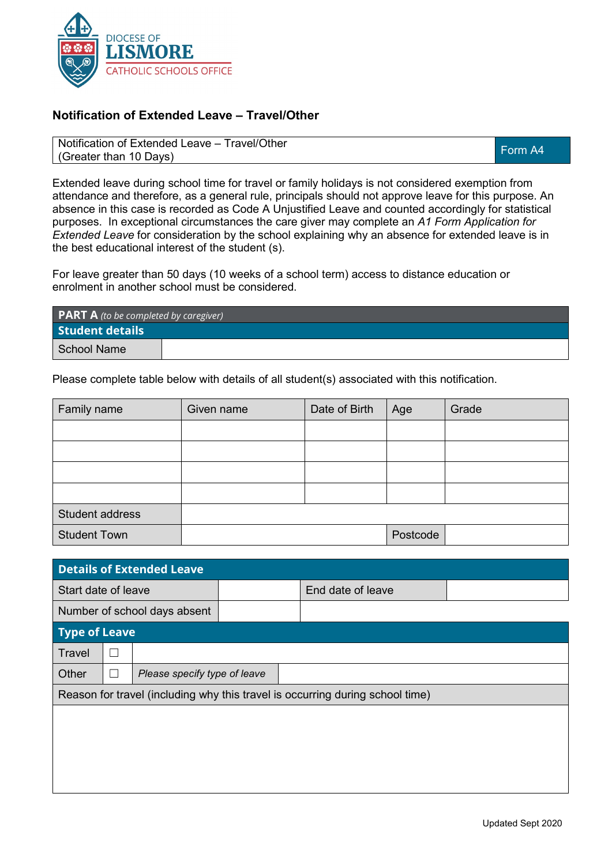

## **Notification of Extended Leave – Travel/Other**

Notification of Extended Leave – Travel/Other Notification of Exterided Leave – Travel/Other<br>(Greater than 10 Days)

Extended leave during school time for travel or family holidays is not considered exemption from attendance and therefore, as a general rule, principals should not approve leave for this purpose. An absence in this case is recorded as Code A Unjustified Leave and counted accordingly for statistical purposes. In exceptional circumstances the care giver may complete an *A1 Form Application for Extended Leave* for consideration by the school explaining why an absence for extended leave is in the best educational interest of the student (s).

For leave greater than 50 days (10 weeks of a school term) access to distance education or enrolment in another school must be considered.

| <b>PART A</b> (to be completed by caregiver) |  |  |  |
|----------------------------------------------|--|--|--|
| <b>Student details</b>                       |  |  |  |
| School Name                                  |  |  |  |

Please complete table below with details of all student(s) associated with this notification.

| Family name         | Given name | Date of Birth | Age      | Grade |
|---------------------|------------|---------------|----------|-------|
|                     |            |               |          |       |
|                     |            |               |          |       |
|                     |            |               |          |       |
|                     |            |               |          |       |
| Student address     |            |               |          |       |
| <b>Student Town</b> |            |               | Postcode |       |

| <b>Details of Extended Leave</b>                                              |  |                              |  |                   |  |  |
|-------------------------------------------------------------------------------|--|------------------------------|--|-------------------|--|--|
| Start date of leave                                                           |  |                              |  | End date of leave |  |  |
| Number of school days absent                                                  |  |                              |  |                   |  |  |
| Type of Leave                                                                 |  |                              |  |                   |  |  |
| Travel                                                                        |  |                              |  |                   |  |  |
| Other                                                                         |  | Please specify type of leave |  |                   |  |  |
| Reason for travel (including why this travel is occurring during school time) |  |                              |  |                   |  |  |
|                                                                               |  |                              |  |                   |  |  |
|                                                                               |  |                              |  |                   |  |  |
|                                                                               |  |                              |  |                   |  |  |
|                                                                               |  |                              |  |                   |  |  |
|                                                                               |  |                              |  |                   |  |  |